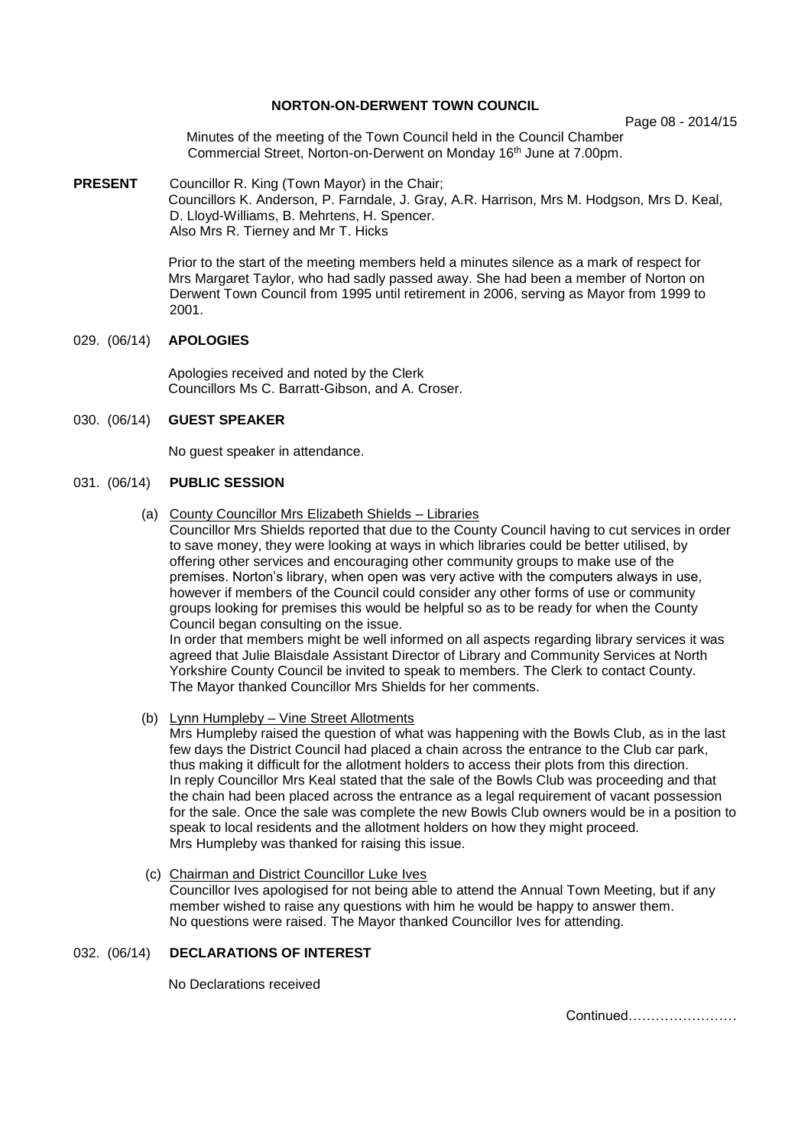# **NORTON-ON-DERWENT TOWN COUNCIL**

Page 08 - 2014/15

Minutes of the meeting of the Town Council held in the Council Chamber Commercial Street, Norton-on-Derwent on Monday 16th June at 7.00pm.

**PRESENT** Councillor R. King (Town Mayor) in the Chair; Councillors K. Anderson, P. Farndale, J. Gray, A.R. Harrison, Mrs M. Hodgson, Mrs D. Keal, D. Lloyd-Williams, B. Mehrtens, H. Spencer. Also Mrs R. Tierney and Mr T. Hicks

> Prior to the start of the meeting members held a minutes silence as a mark of respect for Mrs Margaret Taylor, who had sadly passed away. She had been a member of Norton on Derwent Town Council from 1995 until retirement in 2006, serving as Mayor from 1999 to 2001.

## 029. (06/14) **APOLOGIES**

 Apologies received and noted by the Clerk Councillors Ms C. Barratt-Gibson, and A. Croser.

# 030. (06/14) **GUEST SPEAKER**

No guest speaker in attendance.

# 031. (06/14) **PUBLIC SESSION**

(a) County Councillor Mrs Elizabeth Shields – Libraries

Councillor Mrs Shields reported that due to the County Council having to cut services in order to save money, they were looking at ways in which libraries could be better utilised, by offering other services and encouraging other community groups to make use of the premises. Norton's library, when open was very active with the computers always in use, however if members of the Council could consider any other forms of use or community groups looking for premises this would be helpful so as to be ready for when the County Council began consulting on the issue.

In order that members might be well informed on all aspects regarding library services it was agreed that Julie Blaisdale Assistant Director of Library and Community Services at North Yorkshire County Council be invited to speak to members. The Clerk to contact County. The Mayor thanked Councillor Mrs Shields for her comments.

(b) Lynn Humpleby – Vine Street Allotments

Mrs Humpleby raised the question of what was happening with the Bowls Club, as in the last few days the District Council had placed a chain across the entrance to the Club car park, thus making it difficult for the allotment holders to access their plots from this direction. In reply Councillor Mrs Keal stated that the sale of the Bowls Club was proceeding and that the chain had been placed across the entrance as a legal requirement of vacant possession for the sale. Once the sale was complete the new Bowls Club owners would be in a position to speak to local residents and the allotment holders on how they might proceed. Mrs Humpleby was thanked for raising this issue.

 (c) Chairman and District Councillor Luke Ives Councillor Ives apologised for not being able to attend the Annual Town Meeting, but if any member wished to raise any questions with him he would be happy to answer them. No questions were raised. The Mayor thanked Councillor Ives for attending.

## 032. (06/14) **DECLARATIONS OF INTEREST**

No Declarations received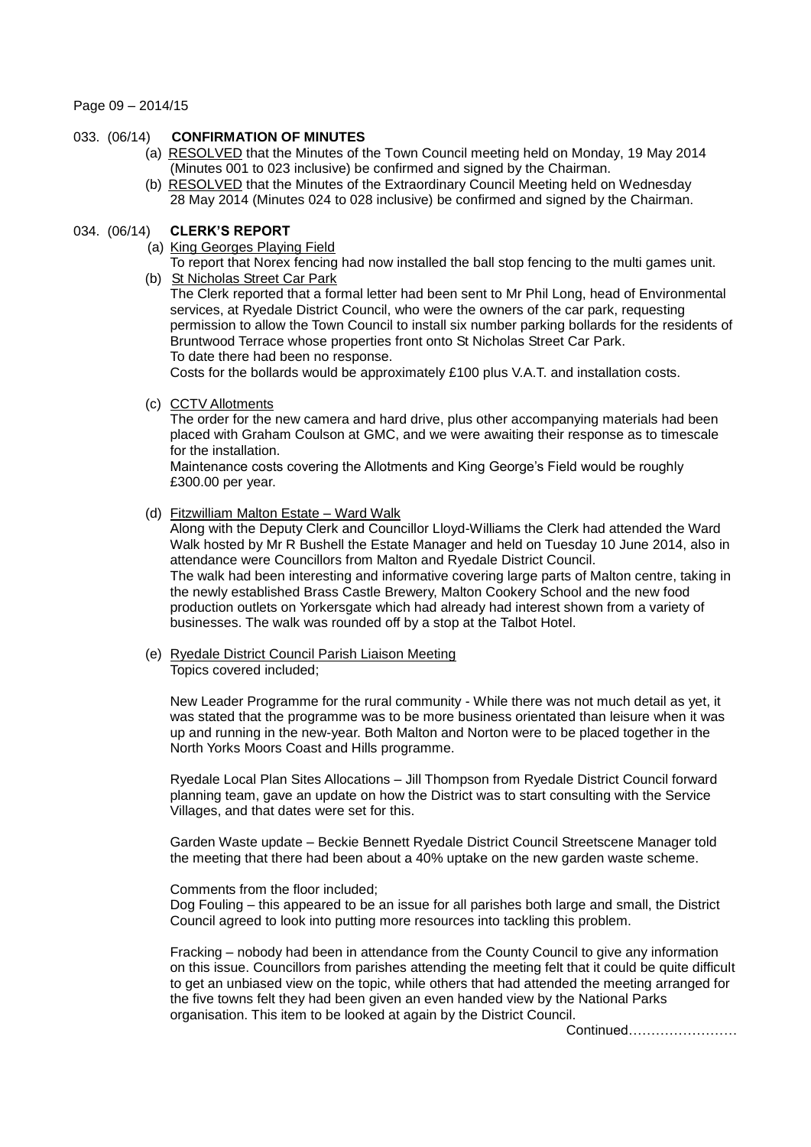Page 09 – 2014/15

# 033. (06/14) **CONFIRMATION OF MINUTES**

- (a) RESOLVED that the Minutes of the Town Council meeting held on Monday, 19 May 2014 (Minutes 001 to 023 inclusive) be confirmed and signed by the Chairman.
- (b) RESOLVED that the Minutes of the Extraordinary Council Meeting held on Wednesday 28 May 2014 (Minutes 024 to 028 inclusive) be confirmed and signed by the Chairman.

# 034. (06/14) **CLERK'S REPORT**

- (a) King Georges Playing Field
- To report that Norex fencing had now installed the ball stop fencing to the multi games unit. (b) St Nicholas Street Car Park

The Clerk reported that a formal letter had been sent to Mr Phil Long, head of Environmental services, at Ryedale District Council, who were the owners of the car park, requesting permission to allow the Town Council to install six number parking bollards for the residents of Bruntwood Terrace whose properties front onto St Nicholas Street Car Park. To date there had been no response.

Costs for the bollards would be approximately £100 plus V.A.T. and installation costs.

(c) CCTV Allotments

The order for the new camera and hard drive, plus other accompanying materials had been placed with Graham Coulson at GMC, and we were awaiting their response as to timescale for the installation.

Maintenance costs covering the Allotments and King George's Field would be roughly £300.00 per year.

# (d) Fitzwilliam Malton Estate – Ward Walk

Along with the Deputy Clerk and Councillor Lloyd-Williams the Clerk had attended the Ward Walk hosted by Mr R Bushell the Estate Manager and held on Tuesday 10 June 2014, also in attendance were Councillors from Malton and Ryedale District Council. The walk had been interesting and informative covering large parts of Malton centre, taking in the newly established Brass Castle Brewery, Malton Cookery School and the new food production outlets on Yorkersgate which had already had interest shown from a variety of businesses. The walk was rounded off by a stop at the Talbot Hotel.

 (e) Ryedale District Council Parish Liaison Meeting Topics covered included;

New Leader Programme for the rural community - While there was not much detail as yet, it was stated that the programme was to be more business orientated than leisure when it was up and running in the new-year. Both Malton and Norton were to be placed together in the North Yorks Moors Coast and Hills programme.

Ryedale Local Plan Sites Allocations – Jill Thompson from Ryedale District Council forward planning team, gave an update on how the District was to start consulting with the Service Villages, and that dates were set for this.

Garden Waste update – Beckie Bennett Ryedale District Council Streetscene Manager told the meeting that there had been about a 40% uptake on the new garden waste scheme.

#### Comments from the floor included;

Dog Fouling – this appeared to be an issue for all parishes both large and small, the District Council agreed to look into putting more resources into tackling this problem.

Fracking – nobody had been in attendance from the County Council to give any information on this issue. Councillors from parishes attending the meeting felt that it could be quite difficult to get an unbiased view on the topic, while others that had attended the meeting arranged for the five towns felt they had been given an even handed view by the National Parks organisation. This item to be looked at again by the District Council.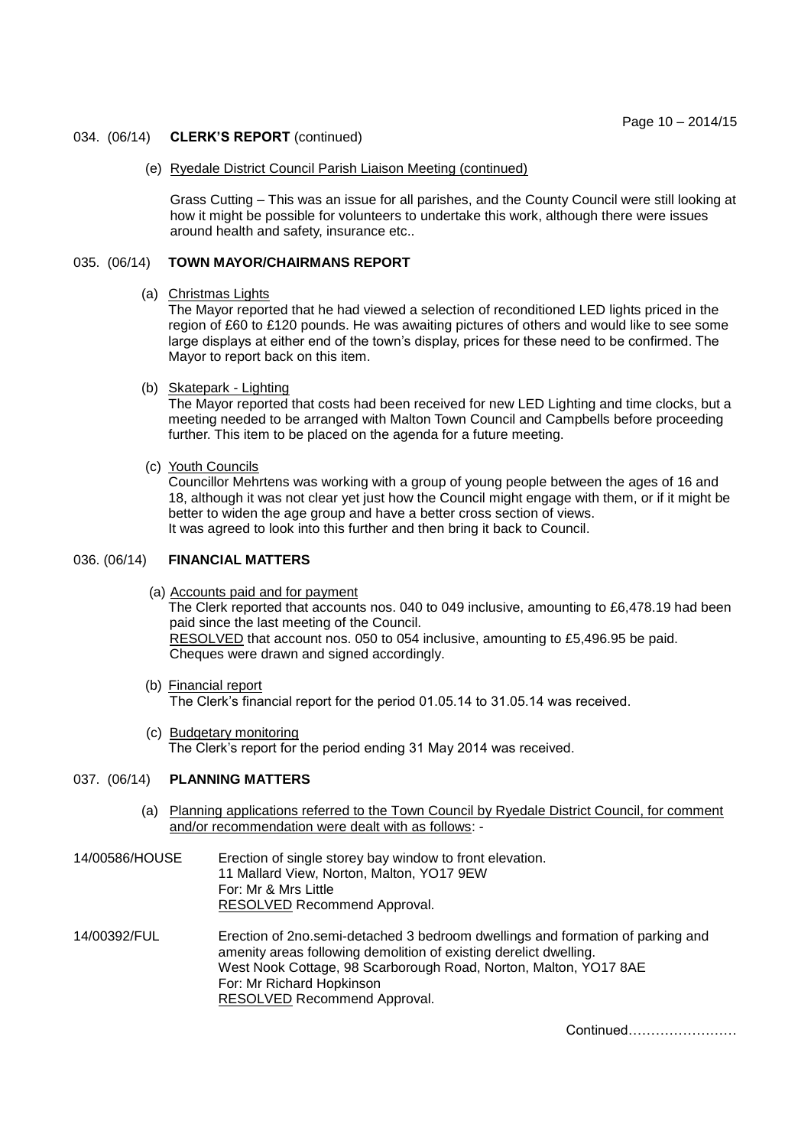#### 034. (06/14) **CLERK'S REPORT** (continued)

#### (e) Ryedale District Council Parish Liaison Meeting (continued)

Grass Cutting – This was an issue for all parishes, and the County Council were still looking at how it might be possible for volunteers to undertake this work, although there were issues around health and safety, insurance etc..

## 035. (06/14) **TOWN MAYOR/CHAIRMANS REPORT**

#### (a) Christmas Lights

The Mayor reported that he had viewed a selection of reconditioned LED lights priced in the region of £60 to £120 pounds. He was awaiting pictures of others and would like to see some large displays at either end of the town's display, prices for these need to be confirmed. The Mayor to report back on this item.

#### (b) Skatepark - Lighting

The Mayor reported that costs had been received for new LED Lighting and time clocks, but a meeting needed to be arranged with Malton Town Council and Campbells before proceeding further. This item to be placed on the agenda for a future meeting.

## (c) Youth Councils

Councillor Mehrtens was working with a group of young people between the ages of 16 and 18, although it was not clear yet just how the Council might engage with them, or if it might be better to widen the age group and have a better cross section of views. It was agreed to look into this further and then bring it back to Council.

## 036. (06/14) **FINANCIAL MATTERS**

(a) Accounts paid and for payment

The Clerk reported that accounts nos. 040 to 049 inclusive, amounting to £6,478.19 had been paid since the last meeting of the Council. RESOLVED that account nos. 050 to 054 inclusive, amounting to £5,496.95 be paid. Cheques were drawn and signed accordingly.

- (b) Financial report The Clerk's financial report for the period 01.05.14 to 31.05.14 was received.
- (c) Budgetary monitoring The Clerk's report for the period ending 31 May 2014 was received.

## 037. (06/14) **PLANNING MATTERS**

- (a) Planning applications referred to the Town Council by Ryedale District Council, for comment and/or recommendation were dealt with as follows: -
- 14/00586/HOUSE Erection of single storey bay window to front elevation. 11 Mallard View, Norton, Malton, YO17 9EW For: Mr & Mrs Little RESOLVED Recommend Approval.
- 14/00392/FUL Erection of 2no.semi-detached 3 bedroom dwellings and formation of parking and amenity areas following demolition of existing derelict dwelling. West Nook Cottage, 98 Scarborough Road, Norton, Malton, YO17 8AE For: Mr Richard Hopkinson RESOLVED Recommend Approval.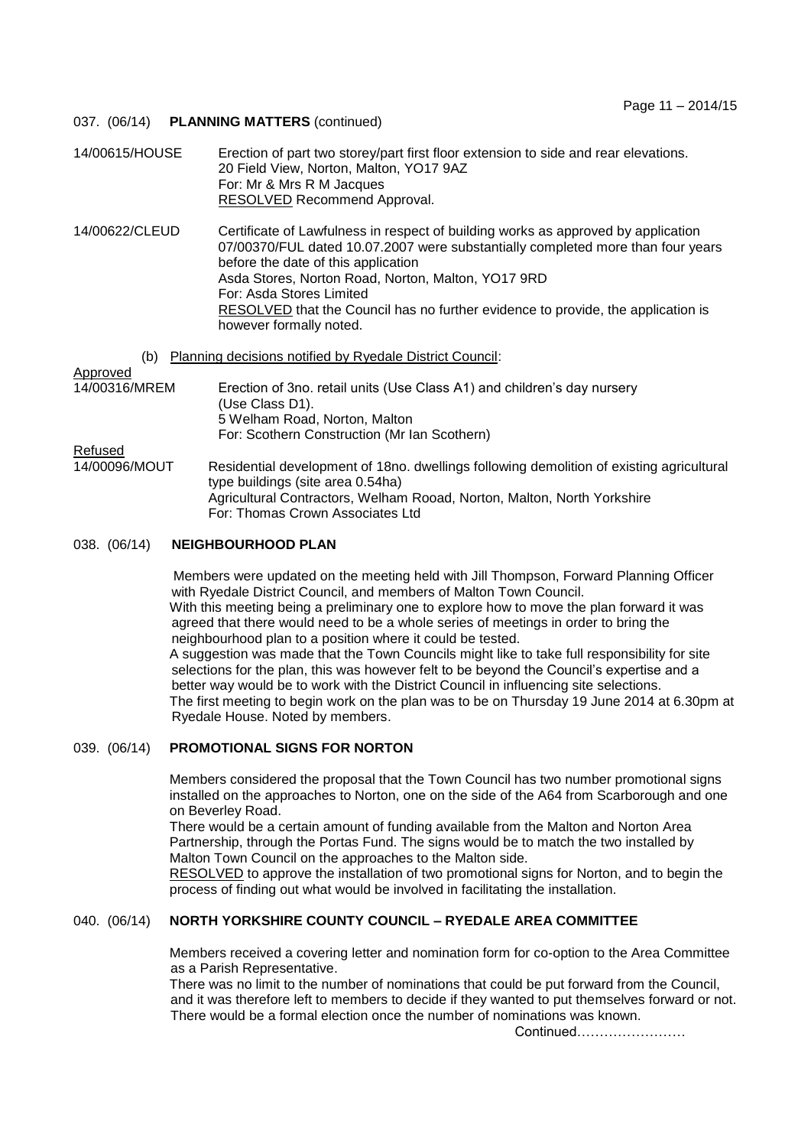## 037. (06/14) **PLANNING MATTERS** (continued)

14/00615/HOUSE Erection of part two storey/part first floor extension to side and rear elevations. 20 Field View, Norton, Malton, YO17 9AZ For: Mr & Mrs R M Jacques RESOLVED Recommend Approval.

14/00622/CLEUD Certificate of Lawfulness in respect of building works as approved by application 07/00370/FUL dated 10.07.2007 were substantially completed more than four years before the date of this application Asda Stores, Norton Road, Norton, Malton, YO17 9RD For: Asda Stores Limited RESOLVED that the Council has no further evidence to provide, the application is however formally noted.

(b) Planning decisions notified by Ryedale District Council:

Approved

# 14/00316/MREM Erection of 3no. retail units (Use Class A1) and children's day nursery (Use Class D1). 5 Welham Road, Norton, Malton For: Scothern Construction (Mr Ian Scothern)

Refused

14/00096/MOUT Residential development of 18no. dwellings following demolition of existing agricultural type buildings (site area 0.54ha) Agricultural Contractors, Welham Rooad, Norton, Malton, North Yorkshire For: Thomas Crown Associates Ltd

# 038. (06/14) **NEIGHBOURHOOD PLAN**

Members were updated on the meeting held with Jill Thompson, Forward Planning Officer with Ryedale District Council, and members of Malton Town Council. With this meeting being a preliminary one to explore how to move the plan forward it was agreed that there would need to be a whole series of meetings in order to bring the neighbourhood plan to a position where it could be tested. A suggestion was made that the Town Councils might like to take full responsibility for site selections for the plan, this was however felt to be beyond the Council's expertise and a better way would be to work with the District Council in influencing site selections. The first meeting to begin work on the plan was to be on Thursday 19 June 2014 at 6.30pm at Ryedale House. Noted by members.

## 039. (06/14) **PROMOTIONAL SIGNS FOR NORTON**

Members considered the proposal that the Town Council has two number promotional signs installed on the approaches to Norton, one on the side of the A64 from Scarborough and one on Beverley Road.

There would be a certain amount of funding available from the Malton and Norton Area Partnership, through the Portas Fund. The signs would be to match the two installed by Malton Town Council on the approaches to the Malton side.

RESOLVED to approve the installation of two promotional signs for Norton, and to begin the process of finding out what would be involved in facilitating the installation.

# 040. (06/14) **NORTH YORKSHIRE COUNTY COUNCIL – RYEDALE AREA COMMITTEE**

 Members received a covering letter and nomination form for co-option to the Area Committee as a Parish Representative.

There was no limit to the number of nominations that could be put forward from the Council, and it was therefore left to members to decide if they wanted to put themselves forward or not. There would be a formal election once the number of nominations was known.